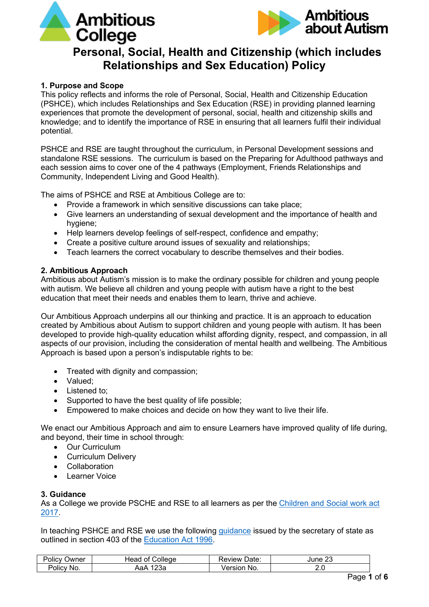



# **Personal, Social, Health and Citizenship (which includes Relationships and Sex Education) Policy**

# **1. Purpose and Scope**

This policy reflects and informs the role of Personal, Social, Health and Citizenship Education (PSHCE), which includes Relationships and Sex Education (RSE) in providing planned learning experiences that promote the development of personal, social, health and citizenship skills and knowledge; and to identify the importance of RSE in ensuring that all learners fulfil their individual potential.

PSHCE and RSE are taught throughout the curriculum, in Personal Development sessions and standalone RSE sessions. The curriculum is based on the Preparing for Adulthood pathways and each session aims to cover one of the 4 pathways (Employment, Friends Relationships and Community, Independent Living and Good Health).

The aims of PSHCE and RSE at Ambitious College are to:

- Provide a framework in which sensitive discussions can take place;
- Give learners an understanding of sexual development and the importance of health and hygiene:
- Help learners develop feelings of self-respect, confidence and empathy;
- Create a positive culture around issues of sexuality and relationships;
- Teach learners the correct vocabulary to describe themselves and their bodies.

#### **2. Ambitious Approach**

Ambitious about Autism's mission is to make the ordinary possible for children and young people with autism. We believe all children and young people with autism have a right to the best education that meet their needs and enables them to learn, thrive and achieve.

Our Ambitious Approach underpins all our thinking and practice. It is an approach to education created by Ambitious about Autism to support children and young people with autism. It has been developed to provide high-quality education whilst affording dignity, respect, and compassion, in all aspects of our provision, including the consideration of mental health and wellbeing. The Ambitious Approach is based upon a person's indisputable rights to be:

- Treated with dignity and compassion;
- Valued;
- Listened to:
- Supported to have the best quality of life possible;
- Empowered to make choices and decide on how they want to live their life.

We enact our Ambitious Approach and aim to ensure Learners have improved quality of life during, and beyond, their time in school through:

- Our Curriculum
- Curriculum Delivery
- Collaboration
- Learner Voice

#### **3. Guidance**

As a College we provide PSCHE and RSE to all learners as per the [Children and Social work act](https://www.legislation.gov.uk/ukpga/2017/16/section/34/enacted)  [2017.](https://www.legislation.gov.uk/ukpga/2017/16/section/34/enacted)

In teaching PSHCE and RSE we use the following [guidance](https://www.gov.uk/government/consultations/relationships-and-sex-education-and-health-education) issued by the secretary of state as outlined in section 403 of the [Education Act 1996.](https://www.legislation.gov.uk/ukpga/1996/56/contents)

| <b>Policy</b><br>שwner | ∴olleae<br>Чеао<br>ΩŤ | 'Jate:<br>Review | $\sim$<br>June |
|------------------------|-----------------------|------------------|----------------|
| -<br>Policy<br>No.     | ാറം<br>на⊬<br>zəa     | 'ersion<br>NO.   | <u>. . u</u>   |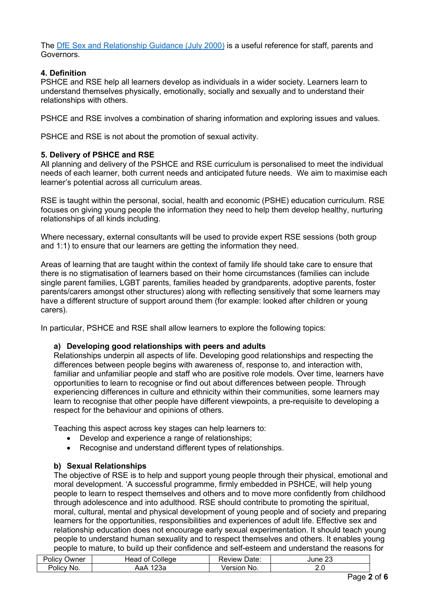The [DfE Sex and Relationship Guidance \(July 2000\)](https://www.gov.uk/government/publications/sex-and-relationship-education) is a useful reference for staff, parents and Governors.

# **4. Definition**

PSHCE and RSE help all learners develop as individuals in a wider society. Learners learn to understand themselves physically, emotionally, socially and sexually and to understand their relationships with others.

PSHCE and RSE involves a combination of sharing information and exploring issues and values.

PSHCE and RSE is not about the promotion of sexual activity.

# **5. Delivery of PSHCE and RSE**

All planning and delivery of the PSHCE and RSE curriculum is personalised to meet the individual needs of each learner, both current needs and anticipated future needs. We aim to maximise each learner's potential across all curriculum areas.

RSE is taught within the personal, social, health and economic (PSHE) education curriculum. RSE focuses on giving young people the information they need to help them develop healthy, nurturing relationships of all kinds including.

Where necessary, external consultants will be used to provide expert RSE sessions (both group and 1:1) to ensure that our learners are getting the information they need.

Areas of learning that are taught within the context of family life should take care to ensure that there is no stigmatisation of learners based on their home circumstances (families can include single parent families, LGBT parents, families headed by grandparents, adoptive parents, foster parents/carers amongst other structures) along with reflecting sensitively that some learners may have a different structure of support around them (for example: looked after children or young carers).

In particular, PSHCE and RSE shall allow learners to explore the following topics:

## **a) Developing good relationships with peers and adults**

Relationships underpin all aspects of life. Developing good relationships and respecting the differences between people begins with awareness of, response to, and interaction with, familiar and unfamiliar people and staff who are positive role models. Over time, learners have opportunities to learn to recognise or find out about differences between people. Through experiencing differences in culture and ethnicity within their communities, some learners may learn to recognise that other people have different viewpoints, a pre-requisite to developing a respect for the behaviour and opinions of others.

Teaching this aspect across key stages can help learners to:

- Develop and experience a range of relationships;
- Recognise and understand different types of relationships.

# **b) Sexual Relationships**

The objective of RSE is to help and support young people through their physical, emotional and moral development. 'A successful programme, firmly embedded in PSHCE, will help young people to learn to respect themselves and others and to move more confidently from childhood through adolescence and into adulthood. RSE should contribute to promoting the spiritual, moral, cultural, mental and physical development of young people and of society and preparing learners for the opportunities, responsibilities and experiences of adult life. Effective sex and relationship education does not encourage early sexual experimentation. It should teach young people to understand human sexuality and to respect themselves and others. It enables young people to mature, to build up their confidence and self-esteem and understand the reasons for

| Dali<br><b>Jwner</b><br>ില്                      | allede.<br>. .       | Jate<br>eview  | ~~<br>une |
|--------------------------------------------------|----------------------|----------------|-----------|
| $\overline{\phantom{a}}$<br>No.<br><b>POIICV</b> | $\sim$<br>٦a⊬<br>zəa | 'ersion<br>NO. | Z.U       |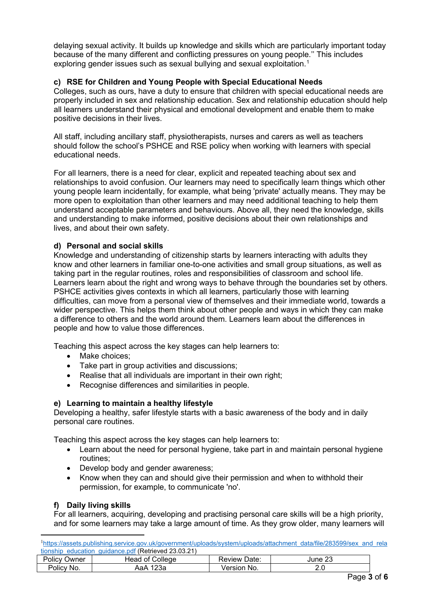delaying sexual activity. It builds up knowledge and skills which are particularly important today because of the many different and conflicting pressures on young people.'' This includes exploring gender issues such as sexual bullying and sexual exploitation.<sup>[1](#page-2-0)</sup>

# **c) RSE for Children and Young People with Special Educational Needs**

Colleges, such as ours, have a duty to ensure that children with special educational needs are properly included in sex and relationship education. Sex and relationship education should help all learners understand their physical and emotional development and enable them to make positive decisions in their lives.

All staff, including ancillary staff, physiotherapists, nurses and carers as well as teachers should follow the school's PSHCE and RSE policy when working with learners with special educational needs.

For all learners, there is a need for clear, explicit and repeated teaching about sex and relationships to avoid confusion. Our learners may need to specifically learn things which other young people learn incidentally, for example, what being 'private' actually means. They may be more open to exploitation than other learners and may need additional teaching to help them understand acceptable parameters and behaviours. Above all, they need the knowledge, skills and understanding to make informed, positive decisions about their own relationships and lives, and about their own safety.

## **d) Personal and social skills**

Knowledge and understanding of citizenship starts by learners interacting with adults they know and other learners in familiar one-to-one activities and small group situations, as well as taking part in the regular routines, roles and responsibilities of classroom and school life. Learners learn about the right and wrong ways to behave through the boundaries set by others. PSHCE activities gives contexts in which all learners, particularly those with learning difficulties, can move from a personal view of themselves and their immediate world, towards a wider perspective. This helps them think about other people and ways in which they can make a difference to others and the world around them. Learners learn about the differences in people and how to value those differences.

Teaching this aspect across the key stages can help learners to:

- Make choices:
- Take part in group activities and discussions;
- Realise that all individuals are important in their own right;
- Recognise differences and similarities in people.

## **e) Learning to maintain a healthy lifestyle**

Developing a healthy, safer lifestyle starts with a basic awareness of the body and in daily personal care routines.

Teaching this aspect across the key stages can help learners to:

- Learn about the need for personal hygiene, take part in and maintain personal hygiene routines;
- Develop body and gender awareness;
- Know when they can and should give their permission and when to withhold their permission, for example, to communicate 'no'.

## **f) Daily living skills**

For all learners, acquiring, developing and practising personal care skills will be a high priority, and for some learners may take a large amount of time. As they grow older, many learners will

<span id="page-2-0"></span>

|     | <sup>1</sup> https://assets.publishing.service.gov.uk/government/uploads/system/uploads/attachment_data/file/283599/sex_and_rela |  |  |  |  |
|-----|----------------------------------------------------------------------------------------------------------------------------------|--|--|--|--|
|     | tionship education quidance.pdf (Retrieved 23.03.21)                                                                             |  |  |  |  |
| - - |                                                                                                                                  |  |  |  |  |

|                     | wononio oggoglon ganganoo.partitonio rog Lo.oo.Lin |                   |               |
|---------------------|----------------------------------------------------|-------------------|---------------|
| <b>Policy Owner</b> | Head of College                                    | Date:<br>Review * | oc<br>June 23 |
| Policy No.          | 23а<br>∖аА                                         | Version No.       | 2.U           |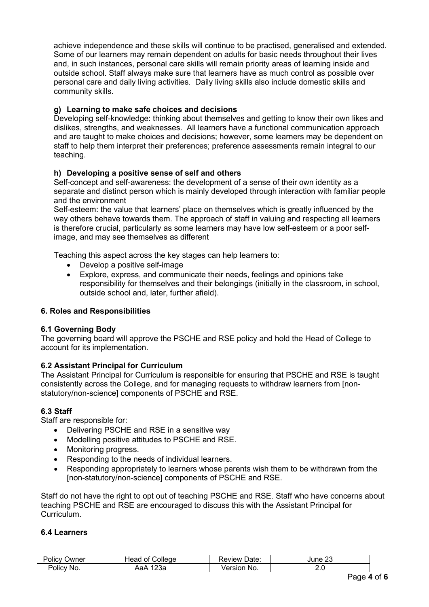achieve independence and these skills will continue to be practised, generalised and extended. Some of our learners may remain dependent on adults for basic needs throughout their lives and, in such instances, personal care skills will remain priority areas of learning inside and outside school. Staff always make sure that learners have as much control as possible over personal care and daily living activities. Daily living skills also include domestic skills and community skills.

# **g) Learning to make safe choices and decisions**

Developing self-knowledge: thinking about themselves and getting to know their own likes and dislikes, strengths, and weaknesses. All learners have a functional communication approach and are taught to make choices and decisions; however, some learners may be dependent on staff to help them interpret their preferences; preference assessments remain integral to our teaching.

## **h) Developing a positive sense of self and others**

Self-concept and self-awareness: the development of a sense of their own identity as a separate and distinct person which is mainly developed through interaction with familiar people and the environment

Self-esteem: the value that learners' place on themselves which is greatly influenced by the way others behave towards them. The approach of staff in valuing and respecting all learners is therefore crucial, particularly as some learners may have low self-esteem or a poor selfimage, and may see themselves as different

Teaching this aspect across the key stages can help learners to:

- Develop a positive self-image
- Explore, express, and communicate their needs, feelings and opinions take responsibility for themselves and their belongings (initially in the classroom, in school, outside school and, later, further afield).

## **6. Roles and Responsibilities**

## **6.1 Governing Body**

The governing board will approve the PSCHE and RSE policy and hold the Head of College to account for its implementation.

## **6.2 Assistant Principal for Curriculum**

The Assistant Principal for Curriculum is responsible for ensuring that PSCHE and RSE is taught consistently across the College, and for managing requests to withdraw learners from [nonstatutory/non-science] components of PSCHE and RSE.

## **6.3 Staff**

Staff are responsible for:

- Delivering PSCHE and RSE in a sensitive way
- Modelling positive attitudes to PSCHE and RSE.
- Monitoring progress.
- Responding to the needs of individual learners.
- Responding appropriately to learners whose parents wish them to be withdrawn from the [non-statutory/non-science] components of PSCHE and RSE.

Staff do not have the right to opt out of teaching PSCHE and RSE. Staff who have concerns about teaching PSCHE and RSE are encouraged to discuss this with the Assistant Principal for Curriculum.

#### **6.4 Learners**

| שWner<br>OIICV      | pileae<br>Ωt<br>Head<br>. . | Date:<br>eview | $\sim$<br>June<br>ںے |
|---------------------|-----------------------------|----------------|----------------------|
| Policy<br><b>No</b> | $\sim$<br>∧a⊬<br>zoa        | No.<br>Arsinn  | 2. U                 |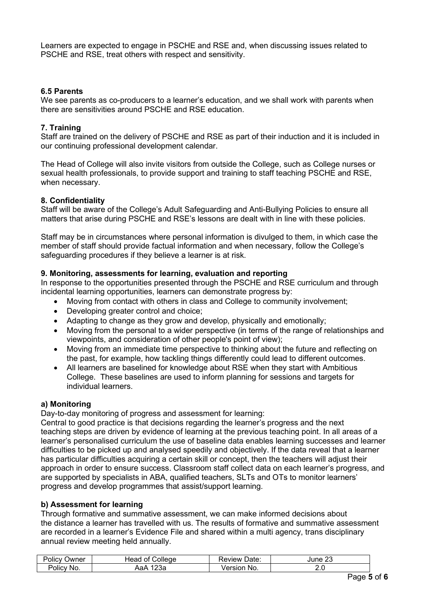Learners are expected to engage in PSCHE and RSE and, when discussing issues related to PSCHE and RSE, treat others with respect and sensitivity.

#### **6.5 Parents**

We see parents as co-producers to a learner's education, and we shall work with parents when there are sensitivities around PSCHE and RSE education.

#### **7. Training**

Staff are trained on the delivery of PSCHE and RSE as part of their induction and it is included in our continuing professional development calendar.

The Head of College will also invite visitors from outside the College, such as College nurses or sexual health professionals, to provide support and training to staff teaching PSCHE and RSE, when necessary.

#### **8. Confidentiality**

Staff will be aware of the College's Adult Safeguarding and Anti-Bullying Policies to ensure all matters that arise during PSCHE and RSE's lessons are dealt with in line with these policies.

Staff may be in circumstances where personal information is divulged to them, in which case the member of staff should provide factual information and when necessary, follow the College's safeguarding procedures if they believe a learner is at risk.

#### **9. Monitoring, assessments for learning, evaluation and reporting**

In response to the opportunities presented through the PSCHE and RSE curriculum and through incidental learning opportunities, learners can demonstrate progress by:

- Moving from contact with others in class and College to community involvement;
- Developing greater control and choice;
- Adapting to change as they grow and develop, physically and emotionally;
- Moving from the personal to a wider perspective (in terms of the range of relationships and viewpoints, and consideration of other people's point of view);
- Moving from an immediate time perspective to thinking about the future and reflecting on the past, for example, how tackling things differently could lead to different outcomes.
- All learners are baselined for knowledge about RSE when they start with Ambitious College. These baselines are used to inform planning for sessions and targets for individual learners.

#### **a) Monitoring**

Day-to-day monitoring of progress and assessment for learning:

Central to good practice is that decisions regarding the learner's progress and the next teaching steps are driven by evidence of learning at the previous teaching point. In all areas of a learner's personalised curriculum the use of baseline data enables learning successes and learner difficulties to be picked up and analysed speedily and objectively. If the data reveal that a learner has particular difficulties acquiring a certain skill or concept, then the teachers will adjust their approach in order to ensure success. Classroom staff collect data on each learner's progress, and are supported by specialists in ABA, qualified teachers, SLTs and OTs to monitor learners' progress and develop programmes that assist/support learning.

## **b) Assessment for learning**

Through formative and summative assessment, we can make informed decisions about the distance a learner has travelled with us. The results of formative and summative assessment are recorded in a learner's Evidence File and shared within a multi agency, trans disciplinary annual review meeting held annually.

| Policy<br>שwner | ∴olleαe<br>Head<br>οt    | Date:<br>∴eview '      | $\sim$<br>'une 2ಎ |
|-----------------|--------------------------|------------------------|-------------------|
| Policy<br>No.   | $\sqrt{2}$<br>АаА<br>∠əa | <i>Jersion</i><br>≅No. | <u></u>           |